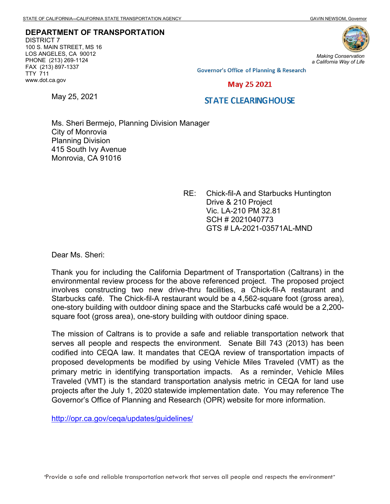**DEPARTMENT OF TRANSPORTATION** DISTRICT 7 100 S. MAIN STREET, MS 16 LOS ANGELES, CA 90012 PHONE (213) 269-1124 FAX (213) 897-1337 TTY 711 www.dot.ca.gov



*Making Conservation a California Way of Life*

**Governor's Office of Planning & Research** 

## May 25 2021

May 25, 2021

## **STATE CLEARINGHOUSE**

Ms. Sheri Bermejo, Planning Division Manager City of Monrovia Planning Division 415 South Ivy Avenue Monrovia, CA 91016

> RE: Chick-fil-A and Starbucks Huntington Drive & 210 Project Vic. LA-210 PM 32.81 SCH # 2021040773 GTS # LA-2021-03571AL-MND

Dear Ms. Sheri:

Thank you for including the California Department of Transportation (Caltrans) in the environmental review process for the above referenced project. The proposed project involves constructing two new drive-thru facilities, a Chick-fil-A restaurant and Starbucks café. The Chick-fil-A restaurant would be a 4,562-square foot (gross area), one-story building with outdoor dining space and the Starbucks café would be a 2,200 square foot (gross area), one-story building with outdoor dining space.

The mission of Caltrans is to provide a safe and reliable transportation network that serves all people and respects the environment. Senate Bill 743 (2013) has been codified into CEQA law. It mandates that CEQA review of transportation impacts of proposed developments be modified by using Vehicle Miles Traveled (VMT) as the primary metric in identifying transportation impacts. As a reminder, Vehicle Miles Traveled (VMT) is the standard transportation analysis metric in CEQA for land use projects after the July 1, 2020 statewide implementation date. You may reference The Governor's Office of Planning and Research (OPR) website for more information.

<http://opr.ca.gov/ceqa/updates/guidelines/>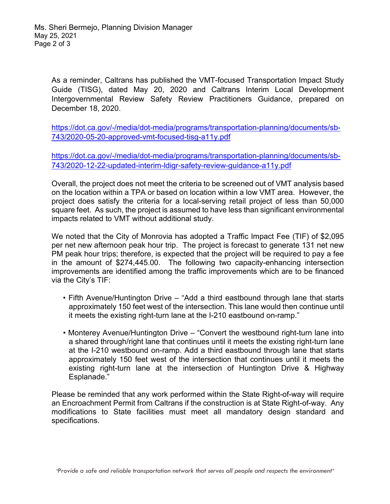As a reminder, Caltrans has published the VMT-focused Transportation Impact Study Guide (TISG), dated May 20, 2020 and Caltrans Interim Local Development Intergovernmental Review Safety Review Practitioners Guidance, prepared on December 18, 2020.

[https://dot.ca.gov/-/media/dot-media/programs/transportation-planning/documents/sb-](https://dot.ca.gov/-/media/dot-media/programs/transportation-planning/documents/sb-743/2020-05-20-approved-vmt-focused-tisg-a11y.pdf)[743/2020-05-20-approved-vmt-focused-tisg-a11y.pdf](https://dot.ca.gov/-/media/dot-media/programs/transportation-planning/documents/sb-743/2020-05-20-approved-vmt-focused-tisg-a11y.pdf)

[https://dot.ca.gov/-/media/dot-media/programs/transportation-planning/documents/sb-](https://dot.ca.gov/-/media/dot-media/programs/transportation-planning/documents/sb-743/2020-12-22-updated-interim-ldigr-safety-review-guidance-a11y.pdf)[743/2020-12-22-updated-interim-ldigr-safety-review-guidance-a11y.pdf](https://dot.ca.gov/-/media/dot-media/programs/transportation-planning/documents/sb-743/2020-12-22-updated-interim-ldigr-safety-review-guidance-a11y.pdf)

Overall, the project does not meet the criteria to be screened out of VMT analysis based on the location within a TPA or based on location within a low VMT area. However, the project does satisfy the criteria for a local-serving retail project of less than 50,000 square feet. As such, the project is assumed to have less than significant environmental impacts related to VMT without additional study.

We noted that the City of Monrovia has adopted a Traffic Impact Fee (TIF) of \$2,095 per net new afternoon peak hour trip. The project is forecast to generate 131 net new PM peak hour trips; therefore, is expected that the project will be required to pay a fee in the amount of \$274,445.00. The following two capacity-enhancing intersection improvements are identified among the traffic improvements which are to be financed via the City's TIF:

- Fifth Avenue/Huntington Drive "Add a third eastbound through lane that starts approximately 150 feet west of the intersection. This lane would then continue until it meets the existing right-turn lane at the I-210 eastbound on-ramp."
- Monterey Avenue/Huntington Drive "Convert the westbound right-turn lane into a shared through/right lane that continues until it meets the existing right-turn lane at the I-210 westbound on-ramp. Add a third eastbound through lane that starts approximately 150 feet west of the intersection that continues until it meets the existing right-turn lane at the intersection of Huntington Drive & Highway Esplanade."

Please be reminded that any work performed within the State Right-of-way will require an Encroachment Permit from Caltrans if the construction is at State Right-of-way. Any modifications to State facilities must meet all mandatory design standard and specifications.